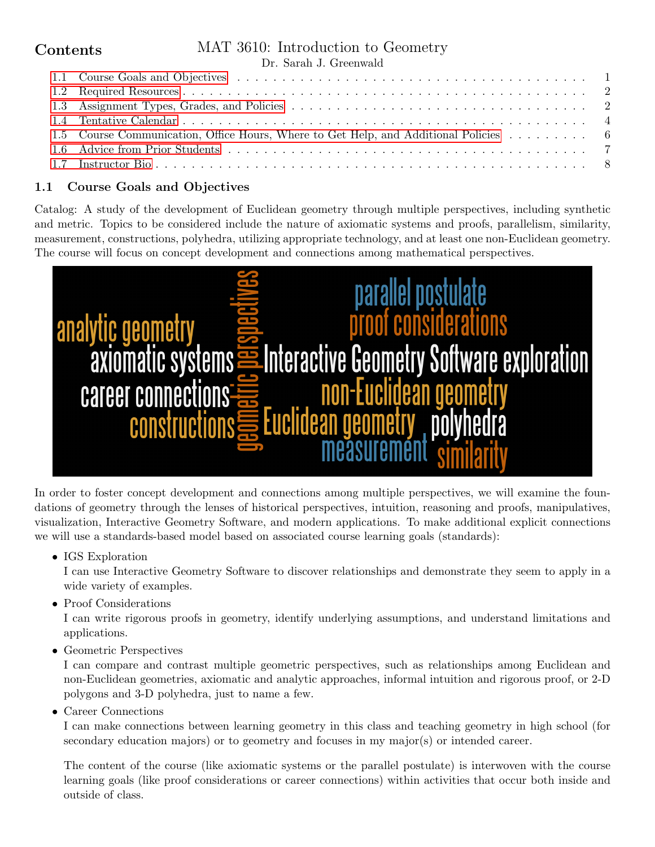# **Contents**

# MAT 3610: Introduction to Geometry

|  | Dr. Sarah J. Greenwald |
|--|------------------------|
|  |                        |

| 1.5 Course Communication, Office Hours, Where to Get Help, and Additional Policies 6 |  |
|--------------------------------------------------------------------------------------|--|
|                                                                                      |  |
|                                                                                      |  |

## <span id="page-0-0"></span>1.1 Course Goals and Objectives

Catalog: A study of the development of Euclidean geometry through multiple perspectives, including synthetic and metric. Topics to be considered include the nature of axiomatic systems and proofs, parallelism, similarity, measurement, constructions, polyhedra, utilizing appropriate technology, and at least one non-Euclidean geometry. The course will focus on concept development and connections among mathematical perspectives.



In order to foster concept development and connections among multiple perspectives, we will examine the foundations of geometry through the lenses of historical perspectives, intuition, reasoning and proofs, manipulatives, visualization, Interactive Geometry Software, and modern applications. To make additional explicit connections we will use a standards-based model based on associated course learning goals (standards):

• IGS Exploration

I can use Interactive Geometry Software to discover relationships and demonstrate they seem to apply in a wide variety of examples.

• Proof Considerations

I can write rigorous proofs in geometry, identify underlying assumptions, and understand limitations and applications.

• Geometric Perspectives

I can compare and contrast multiple geometric perspectives, such as relationships among Euclidean and non-Euclidean geometries, axiomatic and analytic approaches, informal intuition and rigorous proof, or 2-D polygons and 3-D polyhedra, just to name a few.

• Career Connections

I can make connections between learning geometry in this class and teaching geometry in high school (for secondary education majors) or to geometry and focuses in my major(s) or intended career.

The content of the course (like axiomatic systems or the parallel postulate) is interwoven with the course learning goals (like proof considerations or career connections) within activities that occur both inside and outside of class.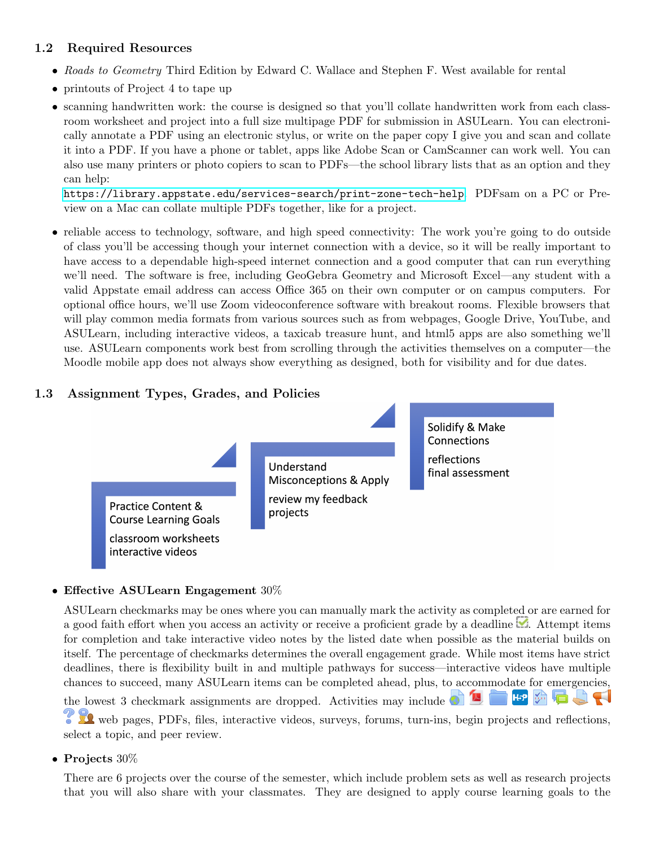## <span id="page-1-0"></span>1.2 Required Resources

- Roads to Geometry Third Edition by Edward C. Wallace and Stephen F. West available for rental
- printouts of Project 4 to tape up
- scanning handwritten work: the course is designed so that you'll collate handwritten work from each classroom worksheet and project into a full size multipage PDF for submission in ASULearn. You can electronically annotate a PDF using an electronic stylus, or write on the paper copy I give you and scan and collate it into a PDF. If you have a phone or tablet, apps like Adobe Scan or CamScanner can work well. You can also use many printers or photo copiers to scan to PDFs—the school library lists that as an option and they can help:

<https://library.appstate.edu/services-search/print-zone-tech-help>. PDFsam on a PC or Preview on a Mac can collate multiple PDFs together, like for a project.

• reliable access to technology, software, and high speed connectivity: The work you're going to do outside of class you'll be accessing though your internet connection with a device, so it will be really important to have access to a dependable high-speed internet connection and a good computer that can run everything we'll need. The software is free, including GeoGebra Geometry and Microsoft Excel—any student with a valid Appstate email address can access Office 365 on their own computer or on campus computers. For optional office hours, we'll use Zoom videoconference software with breakout rooms. Flexible browsers that will play common media formats from various sources such as from webpages, Google Drive, YouTube, and ASULearn, including interactive videos, a taxicab treasure hunt, and html5 apps are also something we'll use. ASULearn components work best from scrolling through the activities themselves on a computer—the Moodle mobile app does not always show everything as designed, both for visibility and for due dates.

## <span id="page-1-1"></span>1.3 Assignment Types, Grades, and Policies



#### • Effective ASULearn Engagement 30%

ASULearn checkmarks may be ones where you can manually mark the activity as completed or are earned for a good faith effort when you access an activity or receive a proficient grade by a deadline  $\mathcal{A}$ . Attempt items for completion and take interactive video notes by the listed date when possible as the material builds on itself. The percentage of checkmarks determines the overall engagement grade. While most items have strict deadlines, there is flexibility built in and multiple pathways for success—interactive videos have multiple chances to succeed, many ASULearn items can be completed ahead, plus, to accommodate for emergencies, **H-P** H the lowest 3 checkmark assignments are dropped. Activities may include

**TA** web pages, PDFs, files, interactive videos, surveys, forums, turn-ins, begin projects and reflections, select a topic, and peer review.

• Projects 30%

There are 6 projects over the course of the semester, which include problem sets as well as research projects that you will also share with your classmates. They are designed to apply course learning goals to the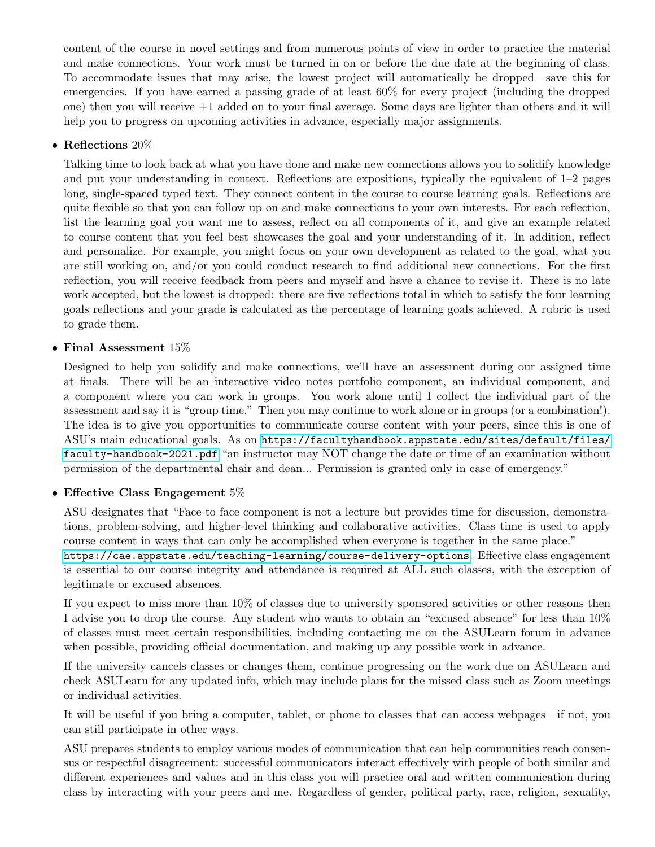content of the course in novel settings and from numerous points of view in order to practice the material and make connections. Your work must be turned in on or before the due date at the beginning of class. To accommodate issues that may arise, the lowest project will automatically be dropped—save this for emergencies. If you have earned a passing grade of at least 60% for every project (including the dropped one) then you will receive +1 added on to your final average. Some days are lighter than others and it will help you to progress on upcoming activities in advance, especially major assignments.

#### • Reflections 20%

Talking time to look back at what you have done and make new connections allows you to solidify knowledge and put your understanding in context. Reflections are expositions, typically the equivalent of 1–2 pages long, single-spaced typed text. They connect content in the course to course learning goals. Reflections are quite flexible so that you can follow up on and make connections to your own interests. For each reflection, list the learning goal you want me to assess, reflect on all components of it, and give an example related to course content that you feel best showcases the goal and your understanding of it. In addition, reflect and personalize. For example, you might focus on your own development as related to the goal, what you are still working on, and/or you could conduct research to find additional new connections. For the first reflection, you will receive feedback from peers and myself and have a chance to revise it. There is no late work accepted, but the lowest is dropped: there are five reflections total in which to satisfy the four learning goals reflections and your grade is calculated as the percentage of learning goals achieved. A rubric is used to grade them.

#### • Final Assessment 15%

Designed to help you solidify and make connections, we'll have an assessment during our assigned time at finals. There will be an interactive video notes portfolio component, an individual component, and a component where you can work in groups. You work alone until I collect the individual part of the assessment and say it is "group time." Then you may continue to work alone or in groups (or a combination!). The idea is to give you opportunities to communicate course content with your peers, since this is one of ASU's main educational goals. As on [https://facultyhandbook.appstate.edu/sites/default/files/](https://facultyhandbook.appstate.edu/sites/default/files/faculty-handbook-2021.pdf) [faculty-handbook-2021.pdf](https://facultyhandbook.appstate.edu/sites/default/files/faculty-handbook-2021.pdf) "an instructor may NOT change the date or time of an examination without permission of the departmental chair and dean... Permission is granted only in case of emergency."

#### • Effective Class Engagement 5%

ASU designates that "Face-to face component is not a lecture but provides time for discussion, demonstrations, problem-solving, and higher-level thinking and collaborative activities. Class time is used to apply course content in ways that can only be accomplished when everyone is together in the same place."

<https://cae.appstate.edu/teaching-learning/course-delivery-options>. Effective class engagement is essential to our course integrity and attendance is required at ALL such classes, with the exception of legitimate or excused absences.

If you expect to miss more than 10% of classes due to university sponsored activities or other reasons then I advise you to drop the course. Any student who wants to obtain an "excused absence" for less than 10% of classes must meet certain responsibilities, including contacting me on the ASULearn forum in advance when possible, providing official documentation, and making up any possible work in advance.

If the university cancels classes or changes them, continue progressing on the work due on ASULearn and check ASULearn for any updated info, which may include plans for the missed class such as Zoom meetings or individual activities.

It will be useful if you bring a computer, tablet, or phone to classes that can access webpages—if not, you can still participate in other ways.

ASU prepares students to employ various modes of communication that can help communities reach consensus or respectful disagreement: successful communicators interact effectively with people of both similar and different experiences and values and in this class you will practice oral and written communication during class by interacting with your peers and me. Regardless of gender, political party, race, religion, sexuality,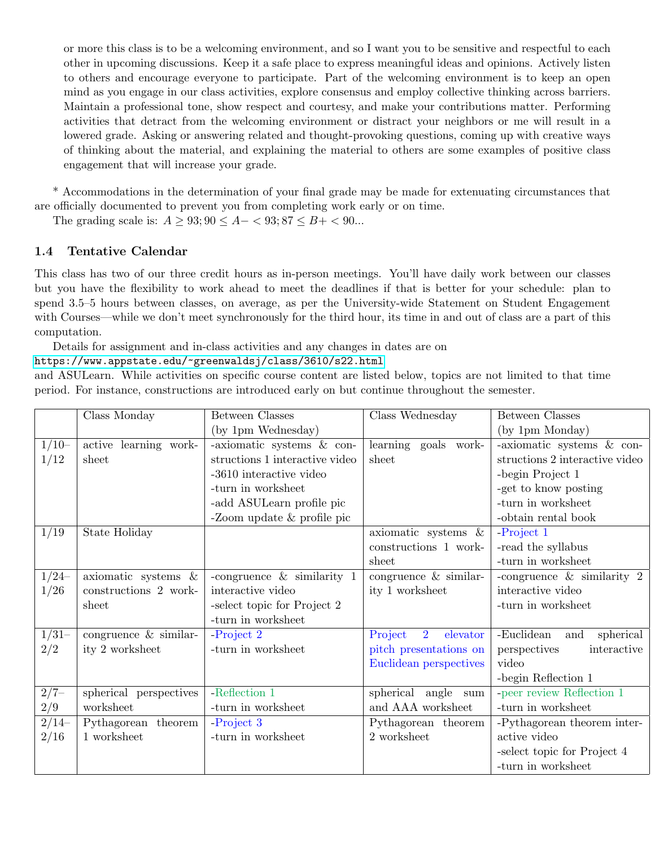or more this class is to be a welcoming environment, and so I want you to be sensitive and respectful to each other in upcoming discussions. Keep it a safe place to express meaningful ideas and opinions. Actively listen to others and encourage everyone to participate. Part of the welcoming environment is to keep an open mind as you engage in our class activities, explore consensus and employ collective thinking across barriers. Maintain a professional tone, show respect and courtesy, and make your contributions matter. Performing activities that detract from the welcoming environment or distract your neighbors or me will result in a lowered grade. Asking or answering related and thought-provoking questions, coming up with creative ways of thinking about the material, and explaining the material to others are some examples of positive class engagement that will increase your grade.

\* Accommodations in the determination of your final grade may be made for extenuating circumstances that are officially documented to prevent you from completing work early or on time.

The grading scale is:  $A \ge 93; 90 \le A - 93; 87 \le B + 90...$ 

#### <span id="page-3-0"></span>1.4 Tentative Calendar

This class has two of our three credit hours as in-person meetings. You'll have daily work between our classes but you have the flexibility to work ahead to meet the deadlines if that is better for your schedule: plan to spend 3.5–5 hours between classes, on average, as per the University-wide Statement on Student Engagement with Courses—while we don't meet synchronously for the third hour, its time in and out of class are a part of this computation.

Details for assignment and in-class activities and any changes in dates are on

#### <https://www.appstate.edu/~greenwaldsj/class/3610/s22.html>

and ASULearn. While activities on specific course content are listed below, topics are not limited to that time period. For instance, constructions are introduced early on but continue throughout the semester.

|               | Class Monday            | <b>Between Classes</b>         | Class Wednesday                       | <b>Between Classes</b>         |
|---------------|-------------------------|--------------------------------|---------------------------------------|--------------------------------|
|               |                         | (by 1pm Wednesday)             |                                       | (by 1pm Monday)                |
| $1/10-$       | active learning work-   | -axiomatic systems & con-      | learning goals work-                  | -axiomatic systems & con-      |
| 1/12          | sheet                   | structions 1 interactive video | sheet                                 | structions 2 interactive video |
|               |                         | -3610 interactive video        |                                       | -begin Project 1               |
|               |                         | -turn in worksheet             |                                       | -get to know posting           |
|               |                         | -add ASULearn profile pic      |                                       | -turn in worksheet             |
|               |                         | -Zoom update $\&$ profile pic  |                                       | -obtain rental book            |
| 1/19          | State Holiday           |                                | axiomatic systems $\&$                | -Project 1                     |
|               |                         |                                | constructions 1 work-                 | -read the syllabus             |
|               |                         |                                | sheet                                 | -turn in worksheet             |
| $1/24-$       | axiomatic systems &     | -congruence $\&$ similarity 1  | congruence $&$ similar-               | -congruence $\&$ similarity 2  |
| 1/26          | constructions 2 work-   | interactive video              | ity 1 worksheet                       | interactive video              |
|               | sheet                   | -select topic for Project 2    |                                       | -turn in worksheet             |
|               |                         | -turn in worksheet             |                                       |                                |
| $1/31-$       | congruence $&$ similar- | $-Project 2$                   | Project<br>$\overline{2}$<br>elevator | -Euclidean<br>spherical<br>and |
| 2/2           | ity 2 worksheet         | -turn in worksheet             | pitch presentations on                | interactive<br>perspectives    |
|               |                         |                                | Euclidean perspectives                | video                          |
|               |                         |                                |                                       | -begin Reflection 1            |
| $\sqrt{2/7-}$ | spherical perspectives  | -Reflection 1                  | spherical angle sum                   | -peer review Reflection 1      |
| 2/9           | worksheet               | -turn in worksheet             | and AAA worksheet                     | -turn in worksheet             |
| $2/14-$       | Pythagorean theorem     | -Project 3                     | Pythagorean theorem                   | -Pythagorean theorem inter-    |
| 2/16          | 1 worksheet             | -turn in worksheet             | 2 worksheet                           | active video                   |
|               |                         |                                |                                       | -select topic for Project 4    |
|               |                         |                                |                                       | -turn in worksheet             |
|               |                         |                                |                                       |                                |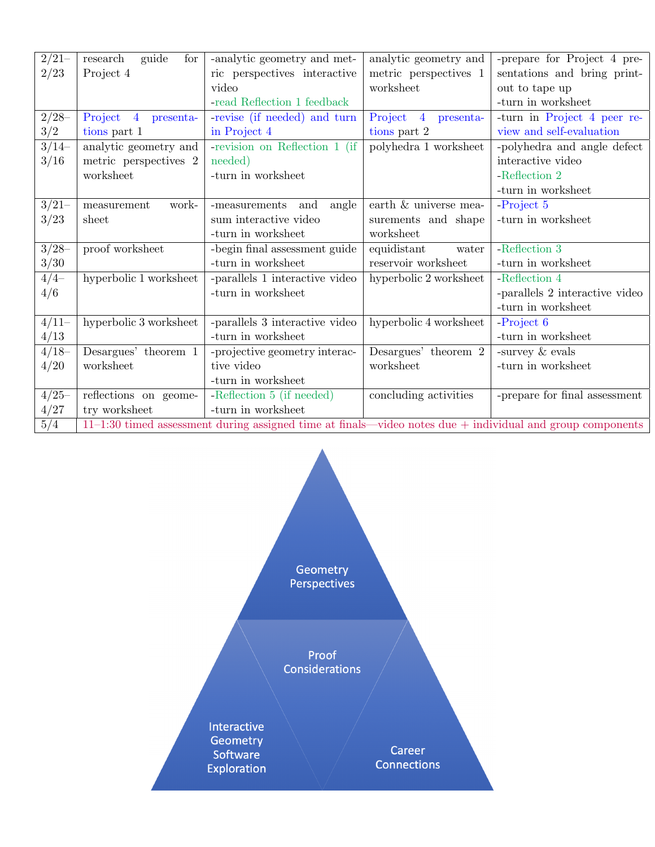| $2/21-$          | guide<br>for<br>research                                                                                      | -analytic geometry and met-    | analytic geometry and  | -prepare for Project 4 pre-    |
|------------------|---------------------------------------------------------------------------------------------------------------|--------------------------------|------------------------|--------------------------------|
| 2/23             | Project 4                                                                                                     | ric perspectives interactive   | metric perspectives 1  | sentations and bring print-    |
|                  |                                                                                                               | video                          | worksheet              | out to tape up                 |
|                  |                                                                                                               | -read Reflection 1 feedback    |                        | -turn in worksheet             |
| $2/28-$          | Project<br>$\overline{4}$<br>presenta-                                                                        | -revise (if needed) and turn   | Project 4<br>presenta- | -turn in Project 4 peer re-    |
| 3/2              | tions part 1                                                                                                  | in Project 4                   | tions part 2           | view and self-evaluation       |
| $3/14-$          | analytic geometry and                                                                                         | -revision on Reflection 1 (if  | polyhedra 1 worksheet  | -polyhedra and angle defect    |
| 3/16             | metric perspectives 2                                                                                         | needed)                        |                        | interactive video              |
|                  | worksheet                                                                                                     | -turn in worksheet             |                        | -Reflection 2                  |
|                  |                                                                                                               |                                |                        | -turn in worksheet             |
| $3/21-$          | measurement<br>work-                                                                                          | -measurements<br>and<br>angle  | earth & universe mea-  | -Project 5                     |
| 3/23             | sheet                                                                                                         | sum interactive video          | surements and shape    | -turn in worksheet             |
|                  |                                                                                                               | -turn in worksheet             | worksheet              |                                |
| $3/28-$          | proof worksheet                                                                                               | -begin final assessment guide  | equidistant<br>water   | -Reflection $3\,$              |
| 3/30             |                                                                                                               | -turn in worksheet             | reservoir worksheet    | -turn in worksheet             |
| $\frac{4}{4}$    | hyperbolic 1 worksheet                                                                                        | -parallels 1 interactive video | hyperbolic 2 worksheet | -Reflection 4                  |
| 4/6              |                                                                                                               | -turn in worksheet             |                        | -parallels 2 interactive video |
|                  |                                                                                                               |                                |                        | -turn in worksheet             |
| $4/11-$          | hyperbolic 3 worksheet                                                                                        | -parallels 3 interactive video | hyperbolic 4 worksheet | -Project 6                     |
| 4/13             |                                                                                                               | -turn in worksheet             |                        | -turn in worksheet             |
| $4/18-$          | Desargues' theorem 1                                                                                          | -projective geometry interac-  | Desargues' theorem 2   | -survey & evals                |
| 4/20             | worksheet                                                                                                     | tive video                     | worksheet              | -turn in worksheet             |
|                  |                                                                                                               | -turn in worksheet             |                        |                                |
| $4/25 -$         | reflections on geome-                                                                                         | -Reflection 5 (if needed)      | concluding activities  | -prepare for final assessment  |
| 4/27             | try worksheet                                                                                                 | -turn in worksheet             |                        |                                |
| $\overline{5/4}$ | $11-1:30$ timed assessment during assigned time at finals—video notes due $+$ individual and group components |                                |                        |                                |

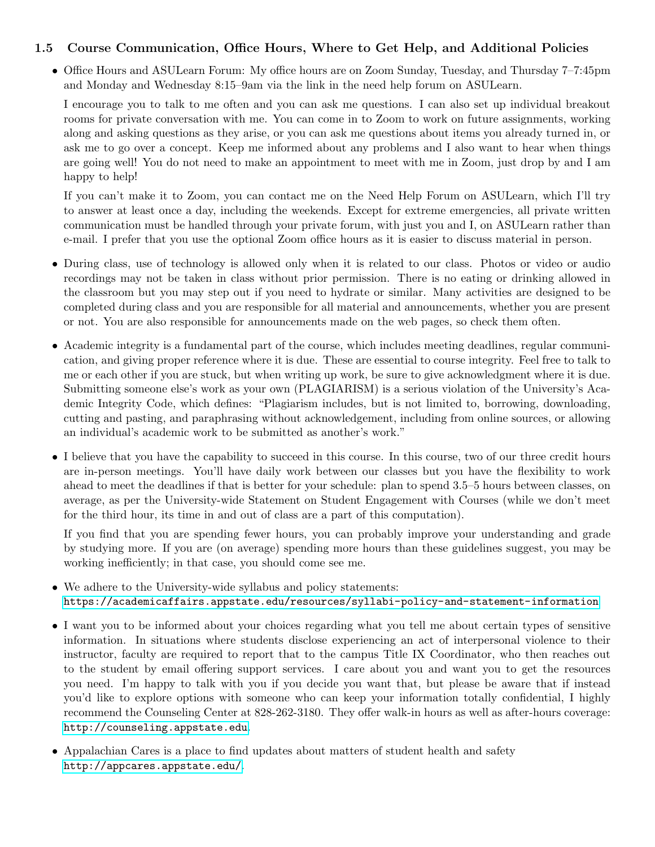#### <span id="page-5-0"></span>1.5 Course Communication, Office Hours, Where to Get Help, and Additional Policies

• Office Hours and ASULearn Forum: My office hours are on Zoom Sunday, Tuesday, and Thursday 7–7:45pm and Monday and Wednesday 8:15–9am via the link in the need help forum on ASULearn.

I encourage you to talk to me often and you can ask me questions. I can also set up individual breakout rooms for private conversation with me. You can come in to Zoom to work on future assignments, working along and asking questions as they arise, or you can ask me questions about items you already turned in, or ask me to go over a concept. Keep me informed about any problems and I also want to hear when things are going well! You do not need to make an appointment to meet with me in Zoom, just drop by and I am happy to help!

If you can't make it to Zoom, you can contact me on the Need Help Forum on ASULearn, which I'll try to answer at least once a day, including the weekends. Except for extreme emergencies, all private written communication must be handled through your private forum, with just you and I, on ASULearn rather than e-mail. I prefer that you use the optional Zoom office hours as it is easier to discuss material in person.

- During class, use of technology is allowed only when it is related to our class. Photos or video or audio recordings may not be taken in class without prior permission. There is no eating or drinking allowed in the classroom but you may step out if you need to hydrate or similar. Many activities are designed to be completed during class and you are responsible for all material and announcements, whether you are present or not. You are also responsible for announcements made on the web pages, so check them often.
- Academic integrity is a fundamental part of the course, which includes meeting deadlines, regular communication, and giving proper reference where it is due. These are essential to course integrity. Feel free to talk to me or each other if you are stuck, but when writing up work, be sure to give acknowledgment where it is due. Submitting someone else's work as your own (PLAGIARISM) is a serious violation of the University's Academic Integrity Code, which defines: "Plagiarism includes, but is not limited to, borrowing, downloading, cutting and pasting, and paraphrasing without acknowledgement, including from online sources, or allowing an individual's academic work to be submitted as another's work."
- I believe that you have the capability to succeed in this course. In this course, two of our three credit hours are in-person meetings. You'll have daily work between our classes but you have the flexibility to work ahead to meet the deadlines if that is better for your schedule: plan to spend 3.5–5 hours between classes, on average, as per the University-wide Statement on Student Engagement with Courses (while we don't meet for the third hour, its time in and out of class are a part of this computation).

If you find that you are spending fewer hours, you can probably improve your understanding and grade by studying more. If you are (on average) spending more hours than these guidelines suggest, you may be working inefficiently; in that case, you should come see me.

- We adhere to the University-wide syllabus and policy statements: <https://academicaffairs.appstate.edu/resources/syllabi-policy-and-statement-information>
- I want you to be informed about your choices regarding what you tell me about certain types of sensitive information. In situations where students disclose experiencing an act of interpersonal violence to their instructor, faculty are required to report that to the campus Title IX Coordinator, who then reaches out to the student by email offering support services. I care about you and want you to get the resources you need. I'm happy to talk with you if you decide you want that, but please be aware that if instead you'd like to explore options with someone who can keep your information totally confidential, I highly recommend the Counseling Center at 828-262-3180. They offer walk-in hours as well as after-hours coverage: <http://counseling.appstate.edu>.
- Appalachian Cares is a place to find updates about matters of student health and safety <http://appcares.appstate.edu/>.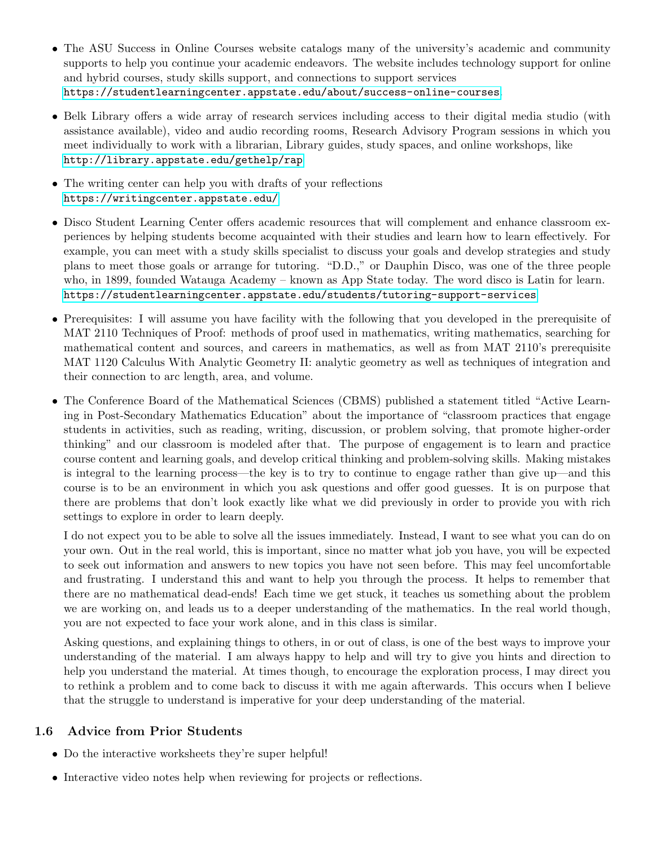- The ASU Success in Online Courses website catalogs many of the university's academic and community supports to help you continue your academic endeavors. The website includes technology support for online and hybrid courses, study skills support, and connections to support services <https://studentlearningcenter.appstate.edu/about/success-online-courses>.
- Belk Library offers a wide array of research services including access to their digital media studio (with assistance available), video and audio recording rooms, Research Advisory Program sessions in which you meet individually to work with a librarian, Library guides, study spaces, and online workshops, like <http://library.appstate.edu/gethelp/rap>
- The writing center can help you with drafts of your reflections <https://writingcenter.appstate.edu/>
- Disco Student Learning Center offers academic resources that will complement and enhance classroom experiences by helping students become acquainted with their studies and learn how to learn effectively. For example, you can meet with a study skills specialist to discuss your goals and develop strategies and study plans to meet those goals or arrange for tutoring. "D.D.," or Dauphin Disco, was one of the three people who, in 1899, founded Watauga Academy – known as App State today. The word disco is Latin for learn. <https://studentlearningcenter.appstate.edu/students/tutoring-support-services>
- Prerequisites: I will assume you have facility with the following that you developed in the prerequisite of MAT 2110 Techniques of Proof: methods of proof used in mathematics, writing mathematics, searching for mathematical content and sources, and careers in mathematics, as well as from MAT 2110's prerequisite MAT 1120 Calculus With Analytic Geometry II: analytic geometry as well as techniques of integration and their connection to arc length, area, and volume.
- The Conference Board of the Mathematical Sciences (CBMS) published a statement titled "Active Learning in Post-Secondary Mathematics Education" about the importance of "classroom practices that engage students in activities, such as reading, writing, discussion, or problem solving, that promote higher-order thinking" and our classroom is modeled after that. The purpose of engagement is to learn and practice course content and learning goals, and develop critical thinking and problem-solving skills. Making mistakes is integral to the learning process—the key is to try to continue to engage rather than give up—and this course is to be an environment in which you ask questions and offer good guesses. It is on purpose that there are problems that don't look exactly like what we did previously in order to provide you with rich settings to explore in order to learn deeply.

I do not expect you to be able to solve all the issues immediately. Instead, I want to see what you can do on your own. Out in the real world, this is important, since no matter what job you have, you will be expected to seek out information and answers to new topics you have not seen before. This may feel uncomfortable and frustrating. I understand this and want to help you through the process. It helps to remember that there are no mathematical dead-ends! Each time we get stuck, it teaches us something about the problem we are working on, and leads us to a deeper understanding of the mathematics. In the real world though, you are not expected to face your work alone, and in this class is similar.

Asking questions, and explaining things to others, in or out of class, is one of the best ways to improve your understanding of the material. I am always happy to help and will try to give you hints and direction to help you understand the material. At times though, to encourage the exploration process, I may direct you to rethink a problem and to come back to discuss it with me again afterwards. This occurs when I believe that the struggle to understand is imperative for your deep understanding of the material.

## <span id="page-6-0"></span>1.6 Advice from Prior Students

- Do the interactive worksheets they're super helpful!
- Interactive video notes help when reviewing for projects or reflections.